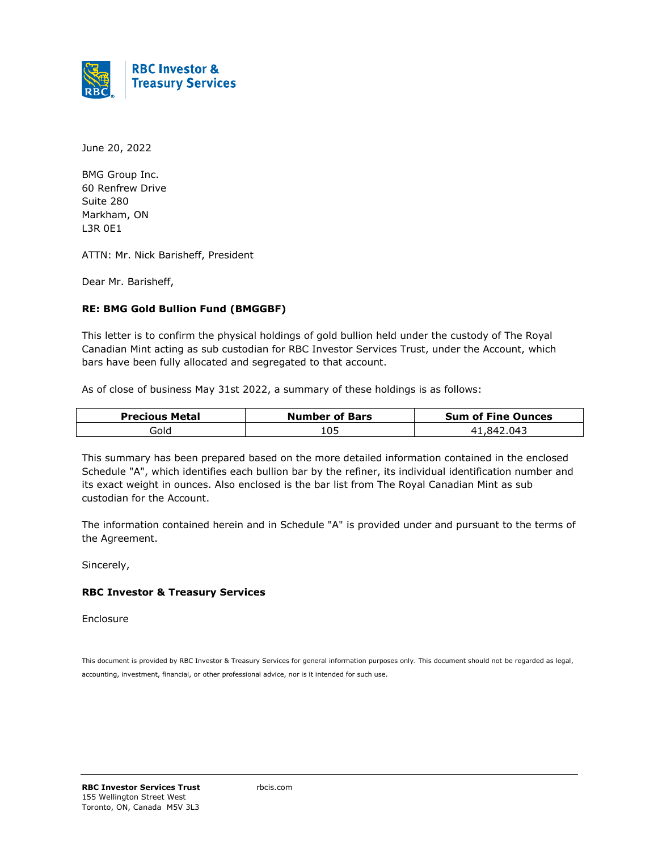

June 20, 2022

BMG Group Inc. 60 Renfrew Drive Suite 280 Markham, ON L3R 0E1

ATTN: Mr. Nick Barisheff, President

Dear Mr. Barisheff,

#### **RE: BMG Gold Bullion Fund (BMGGBF)**

This letter is to confirm the physical holdings of gold bullion held under the custody of The Royal Canadian Mint acting as sub custodian for RBC Investor Services Trust, under the Account, which bars have been fully allocated and segregated to that account.

As of close of business May 31st 2022, a summary of these holdings is as follows:

| <b>Precious Metal</b> | <b>Number of Bars</b> | <b>Sum of Fine Ounces</b> |
|-----------------------|-----------------------|---------------------------|
| Gold                  | 105                   | .842.043                  |

This summary has been prepared based on the more detailed information contained in the enclosed Schedule "A", which identifies each bullion bar by the refiner, its individual identification number and its exact weight in ounces. Also enclosed is the bar list from The Royal Canadian Mint as sub custodian for the Account.

The information contained herein and in Schedule "A" is provided under and pursuant to the terms of the Agreement.

Sincerely,

#### **RBC Investor & Treasury Services**

Enclosure

This document is provided by RBC Investor & Treasury Services for general information purposes only. This document should not be regarded as legal, accounting, investment, financial, or other professional advice, nor is it intended for such use.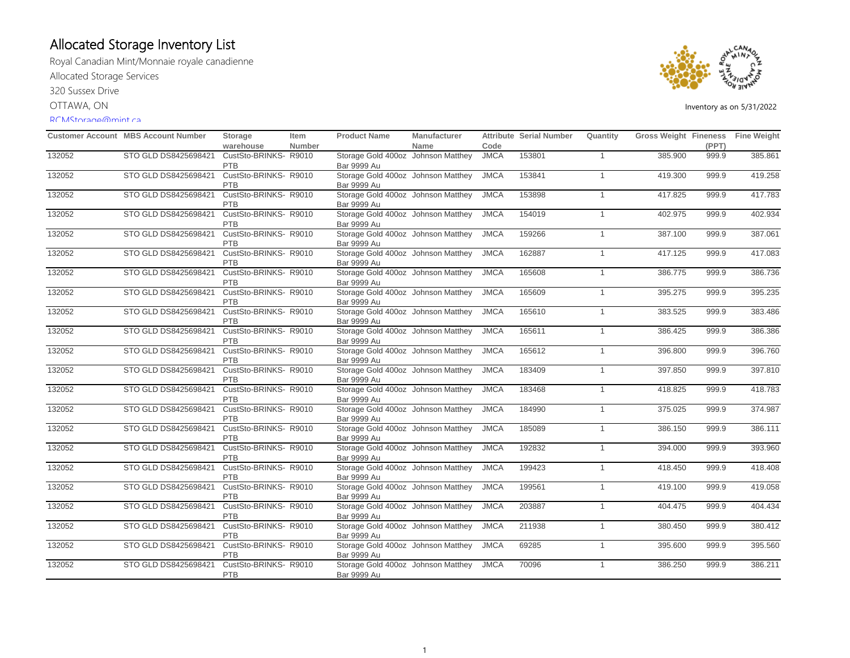Royal Canadian Mint/Monnaie royale canadienne Allocated Storage Services 320 Sussex Drive

OTTAWA, ON

#### RCMStorage@mint.ca



|        | <b>Customer Account MBS Account Number</b> | Storage                             | Item          | <b>Product Name</b>                                      | Manufacturer |             | <b>Attribute Serial Number</b> | Quantity       | Gross Weight Fineness Fine Weight |       |         |
|--------|--------------------------------------------|-------------------------------------|---------------|----------------------------------------------------------|--------------|-------------|--------------------------------|----------------|-----------------------------------|-------|---------|
|        |                                            | warehouse                           | <b>Number</b> |                                                          | Name         | Code        |                                |                |                                   | (PPT) |         |
| 132052 | STO GLD DS8425698421                       | CustSto-BRINKS- R9010<br>PTB        |               | Storage Gold 400oz Johnson Matthey<br><b>Bar 9999 Au</b> |              | <b>JMCA</b> | 153801                         | $\mathbf{1}$   | 385.900                           | 999.9 | 385.861 |
| 132052 | STO GLD DS8425698421                       | CustSto-BRINKS- R9010<br>PTB        |               | Storage Gold 400oz Johnson Matthey<br>Bar 9999 Au        |              | <b>JMCA</b> | 153841                         | $\overline{1}$ | 419.300                           | 999.9 | 419.258 |
| 132052 | STO GLD DS8425698421                       | CustSto-BRINKS-R9010<br><b>PTB</b>  |               | Storage Gold 400oz Johnson Matthey<br><b>Bar 9999 Au</b> |              | <b>JMCA</b> | 153898                         | $\mathbf{1}$   | 417.825                           | 999.9 | 417.783 |
| 132052 | STO GLD DS8425698421                       | CustSto-BRINKS-R9010<br><b>PTB</b>  |               | Storage Gold 400oz Johnson Matthey<br><b>Bar 9999 Au</b> |              | <b>JMCA</b> | 154019                         | $\overline{1}$ | 402.975                           | 999.9 | 402.934 |
| 132052 | STO GLD DS8425698421                       | CustSto-BRINKS- R9010<br><b>PTB</b> |               | Storage Gold 400oz Johnson Matthey<br><b>Bar 9999 Au</b> |              | <b>JMCA</b> | 159266                         | $\overline{1}$ | 387.100                           | 999.9 | 387.061 |
| 132052 | STO GLD DS8425698421                       | CustSto-BRINKS-R9010<br><b>PTB</b>  |               | Storage Gold 400oz Johnson Matthey<br><b>Bar 9999 Au</b> |              | <b>JMCA</b> | 162887                         | $\mathbf{1}$   | 417.125                           | 999.9 | 417.083 |
| 132052 | STO GLD DS8425698421                       | CustSto-BRINKS-R9010<br><b>PTB</b>  |               | Storage Gold 400oz Johnson Matthey<br>Bar 9999 Au        |              | <b>JMCA</b> | 165608                         | $\overline{1}$ | 386.775                           | 999.9 | 386.736 |
| 132052 | STO GLD DS8425698421                       | CustSto-BRINKS-R9010<br><b>PTB</b>  |               | Storage Gold 400oz Johnson Matthey<br><b>Bar 9999 Au</b> |              | <b>JMCA</b> | 165609                         | $\overline{1}$ | 395.275                           | 999.9 | 395.235 |
| 132052 | STO GLD DS8425698421                       | CustSto-BRINKS- R9010<br><b>PTB</b> |               | Storage Gold 400oz Johnson Matthey<br>Bar 9999 Au        |              | <b>JMCA</b> | 165610                         | $\overline{1}$ | 383.525                           | 999.9 | 383.486 |
| 132052 | STO GLD DS8425698421                       | CustSto-BRINKS- R9010<br>PTB        |               | Storage Gold 400oz Johnson Matthey<br><b>Bar 9999 Au</b> |              | <b>JMCA</b> | 165611                         | $\mathbf{1}$   | 386.425                           | 999.9 | 386.386 |
| 132052 | STO GLD DS8425698421                       | CustSto-BRINKS-R9010<br><b>PTB</b>  |               | Storage Gold 400oz Johnson Matthey<br>Bar 9999 Au        |              | <b>JMCA</b> | 165612                         | $\overline{1}$ | 396.800                           | 999.9 | 396.760 |
| 132052 | STO GLD DS8425698421                       | CustSto-BRINKS-R9010<br><b>PTB</b>  |               | Storage Gold 400oz Johnson Matthey<br><b>Bar 9999 Au</b> |              | <b>JMCA</b> | 183409                         | $\mathbf{1}$   | 397.850                           | 999.9 | 397.810 |
| 132052 | STO GLD DS8425698421                       | CustSto-BRINKS-R9010<br><b>PTB</b>  |               | Storage Gold 400oz Johnson Matthey<br>Bar 9999 Au        |              | <b>JMCA</b> | 183468                         | $\overline{1}$ | 418.825                           | 999.9 | 418.783 |
| 132052 | STO GLD DS8425698421                       | CustSto-BRINKS-R9010<br><b>PTB</b>  |               | Storage Gold 400oz Johnson Matthey<br><b>Bar 9999 Au</b> |              | <b>JMCA</b> | 184990                         | $\overline{1}$ | 375.025                           | 999.9 | 374.987 |
| 132052 | STO GLD DS8425698421                       | CustSto-BRINKS-R9010<br><b>PTB</b>  |               | Storage Gold 400oz Johnson Matthey<br><b>Bar 9999 Au</b> |              | <b>JMCA</b> | 185089                         | $\overline{1}$ | 386.150                           | 999.9 | 386.111 |
| 132052 | STO GLD DS8425698421                       | CustSto-BRINKS-R9010<br><b>PTB</b>  |               | Storage Gold 400oz Johnson Matthey<br>Bar 9999 Au        |              | <b>JMCA</b> | 192832                         | $\overline{1}$ | 394.000                           | 999.9 | 393.960 |
| 132052 | STO GLD DS8425698421                       | CustSto-BRINKS-R9010<br>PTB         |               | Storage Gold 400oz Johnson Matthey<br><b>Bar 9999 Au</b> |              | <b>JMCA</b> | 199423                         | $\overline{1}$ | 418.450                           | 999.9 | 418.408 |
| 132052 | STO GLD DS8425698421                       | CustSto-BRINKS-R9010<br><b>PTB</b>  |               | Storage Gold 400oz Johnson Matthey<br><b>Bar 9999 Au</b> |              | <b>JMCA</b> | 199561                         | $\overline{1}$ | 419.100                           | 999.9 | 419.058 |
| 132052 | STO GLD DS8425698421                       | CustSto-BRINKS-R9010<br>PTB         |               | Storage Gold 400oz Johnson Matthey<br><b>Bar 9999 Au</b> |              | <b>JMCA</b> | 203887                         | $\overline{1}$ | 404.475                           | 999.9 | 404.434 |
| 132052 | STO GLD DS8425698421                       | CustSto-BRINKS-R9010<br><b>PTB</b>  |               | Storage Gold 400oz Johnson Matthey<br><b>Bar 9999 Au</b> |              | <b>JMCA</b> | 211938                         | $\overline{1}$ | 380.450                           | 999.9 | 380.412 |
| 132052 | STO GLD DS8425698421                       | CustSto-BRINKS-R9010<br>PTB         |               | Storage Gold 400oz Johnson Matthey<br><b>Bar 9999 Au</b> |              | <b>JMCA</b> | 69285                          | $\overline{1}$ | 395.600                           | 999.9 | 395.560 |
| 132052 | STO GLD DS8425698421                       | CustSto-BRINKS-R9010<br><b>PTB</b>  |               | Storage Gold 400oz Johnson Matthey<br><b>Bar 9999 Au</b> |              | <b>JMCA</b> | 70096                          | $\mathbf{1}$   | 386.250                           | 999.9 | 386.211 |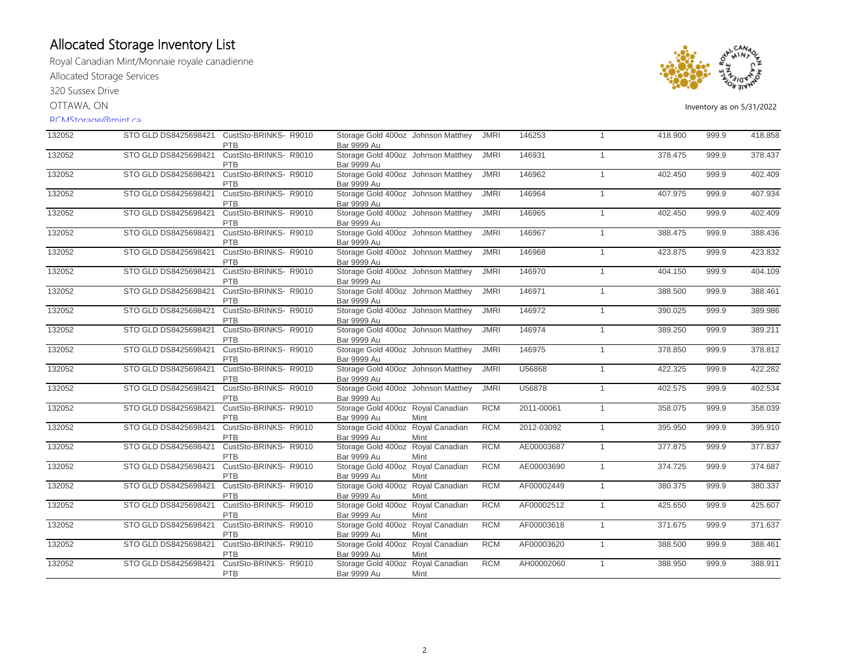Royal Canadian Mint/Monnaie royale canadienne

Allocated Storage Services

320 Sussex Drive

OTTAWA, ON

### RCMStorage@mint.ca



| 132052 | STO GLD DS8425698421 CustSto-BRINKS-R9010 | PTB                                 | Storage Gold 400oz Johnson Matthey<br><b>Bar 9999 Au</b> |      | <b>JMRI</b> | 146253     |                | 418.900 | 999.9 | 418.858 |
|--------|-------------------------------------------|-------------------------------------|----------------------------------------------------------|------|-------------|------------|----------------|---------|-------|---------|
| 132052 | STO GLD DS8425698421                      | CustSto-BRINKS- R9010<br><b>PTB</b> | Storage Gold 400oz Johnson Matthey<br><b>Bar 9999 Au</b> |      | <b>JMRI</b> | 146931     | $\overline{1}$ | 378.475 | 999.9 | 378.437 |
| 132052 | STO GLD DS8425698421                      | CustSto-BRINKS- R9010<br>PTB        | Storage Gold 400oz Johnson Matthey<br>Bar 9999 Au        |      | <b>JMRI</b> | 146962     | $\overline{1}$ | 402.450 | 999.9 | 402.409 |
| 132052 | STO GLD DS8425698421                      | CustSto-BRINKS- R9010<br>PTB        | Storage Gold 400oz Johnson Matthey<br><b>Bar 9999 Au</b> |      | <b>JMRI</b> | 146964     | $\overline{1}$ | 407.975 | 999.9 | 407.934 |
| 132052 | STO GLD DS8425698421                      | CustSto-BRINKS-R9010<br><b>PTB</b>  | Storage Gold 400oz Johnson Matthey<br><b>Bar 9999 Au</b> |      | <b>JMRI</b> | 146965     | $\overline{1}$ | 402.450 | 999.9 | 402.409 |
| 132052 | STO GLD DS8425698421                      | CustSto-BRINKS-R9010<br><b>PTB</b>  | Storage Gold 400oz Johnson Matthey<br><b>Bar 9999 Au</b> |      | <b>JMRI</b> | 146967     | $\overline{1}$ | 388.475 | 999.9 | 388.436 |
| 132052 | STO GLD DS8425698421                      | CustSto-BRINKS-R9010<br><b>PTB</b>  | Storage Gold 400oz Johnson Matthey<br><b>Bar 9999 Au</b> |      | <b>JMRI</b> | 146968     | $\overline{1}$ | 423.875 | 999.9 | 423.832 |
| 132052 | STO GLD DS8425698421                      | CustSto-BRINKS-R9010<br><b>PTB</b>  | Storage Gold 400oz Johnson Matthey<br>Bar 9999 Au        |      | <b>JMRI</b> | 146970     | $\overline{1}$ | 404.150 | 999.9 | 404.109 |
| 132052 | STO GLD DS8425698421                      | CustSto-BRINKS-R9010<br><b>PTB</b>  | Storage Gold 400oz Johnson Matthey<br><b>Bar 9999 Au</b> |      | <b>JMRI</b> | 146971     | $\overline{1}$ | 388.500 | 999.9 | 388.461 |
| 132052 | STO GLD DS8425698421                      | CustSto-BRINKS-R9010<br><b>PTB</b>  | Storage Gold 400oz Johnson Matthey<br>Bar 9999 Au        |      | <b>JMRI</b> | 146972     | $\overline{1}$ | 390.025 | 999.9 | 389.986 |
| 132052 | STO GLD DS8425698421                      | CustSto-BRINKS-R9010<br>PTB         | Storage Gold 400oz Johnson Matthey<br><b>Bar 9999 Au</b> |      | <b>JMRI</b> | 146974     | $\overline{1}$ | 389.250 | 999.9 | 389.211 |
| 132052 | STO GLD DS8425698421                      | CustSto-BRINKS-R9010<br>PTB         | Storage Gold 400oz Johnson Matthey<br>Bar 9999 Au        |      | <b>JMRI</b> | 146975     | $\overline{1}$ | 378.850 | 999.9 | 378.812 |
| 132052 | STO GLD DS8425698421                      | CustSto-BRINKS- R9010<br><b>PTB</b> | Storage Gold 400oz Johnson Matthey<br><b>Bar 9999 Au</b> |      | <b>JMRI</b> | U56868     | $\mathbf{1}$   | 422.325 | 999.9 | 422.282 |
| 132052 | STO GLD DS8425698421                      | CustSto-BRINKS- R9010<br>PTB        | Storage Gold 400oz Johnson Matthey<br>Bar 9999 Au        |      | <b>JMRI</b> | U56878     | $\overline{1}$ | 402.575 | 999.9 | 402.534 |
| 132052 | STO GLD DS8425698421                      | CustSto-BRINKS- R9010<br><b>PTB</b> | Storage Gold 400oz Royal Canadian<br><b>Bar 9999 Au</b>  | Mint | <b>RCM</b>  | 2011-00061 | $\overline{1}$ | 358.075 | 999.9 | 358.039 |
| 132052 | STO GLD DS8425698421                      | CustSto-BRINKS-R9010<br>PTB         | Storage Gold 400oz Royal Canadian<br><b>Bar 9999 Au</b>  | Mint | <b>RCM</b>  | 2012-03092 | $\overline{1}$ | 395.950 | 999.9 | 395.910 |
| 132052 | STO GLD DS8425698421                      | CustSto-BRINKS- R9010<br><b>PTB</b> | Storage Gold 400oz Royal Canadian<br>Bar 9999 Au         | Mint | <b>RCM</b>  | AE00003687 | $\overline{1}$ | 377.875 | 999.9 | 377.837 |
| 132052 | STO GLD DS8425698421                      | CustSto-BRINKS-R9010<br>PTB         | Storage Gold 400oz Royal Canadian<br><b>Bar 9999 Au</b>  | Mint | <b>RCM</b>  | AE00003690 | $\overline{1}$ | 374.725 | 999.9 | 374.687 |
| 132052 | STO GLD DS8425698421                      | CustSto-BRINKS-R9010<br><b>PTB</b>  | Storage Gold 400oz Royal Canadian<br><b>Bar 9999 Au</b>  | Mint | <b>RCM</b>  | AF00002449 | $\overline{1}$ | 380.375 | 999.9 | 380.337 |
| 132052 | STO GLD DS8425698421                      | CustSto-BRINKS- R9010<br><b>PTB</b> | Storage Gold 400oz Royal Canadian<br><b>Bar 9999 Au</b>  | Mint | <b>RCM</b>  | AF00002512 | $\overline{1}$ | 425.650 | 999.9 | 425.607 |
| 132052 | STO GLD DS8425698421                      | CustSto-BRINKS-R9010<br><b>PTB</b>  | Storage Gold 400oz Royal Canadian<br><b>Bar 9999 Au</b>  | Mint | <b>RCM</b>  | AF00003618 | $\overline{1}$ | 371.675 | 999.9 | 371.637 |
| 132052 | STO GLD DS8425698421                      | CustSto-BRINKS-R9010<br>PTB         | Storage Gold 400oz Royal Canadian<br><b>Bar 9999 Au</b>  | Mint | <b>RCM</b>  | AF00003620 | $\overline{1}$ | 388.500 | 999.9 | 388.461 |
| 132052 | STO GLD DS8425698421                      | CustSto-BRINKS-R9010<br><b>PTB</b>  | Storage Gold 400oz Royal Canadian<br><b>Bar 9999 Au</b>  | Mint | <b>RCM</b>  | AH00002060 | $\overline{1}$ | 388.950 | 999.9 | 388.911 |
|        |                                           |                                     |                                                          |      |             |            |                |         |       |         |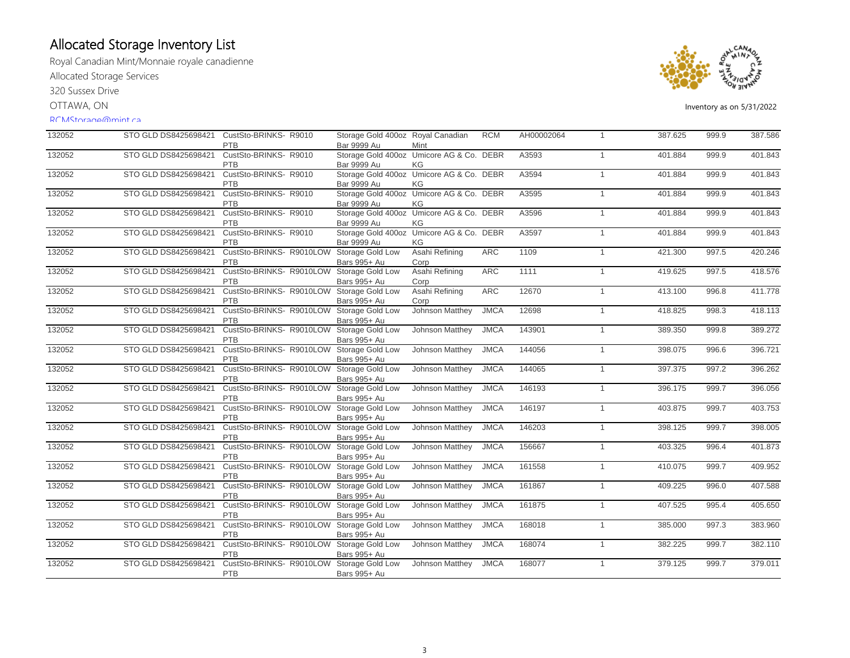Royal Canadian Mint/Monnaie royale canadienne

Allocated Storage Services

320 Sussex Drive

OTTAWA, ON

#### RCMStorage@mint.ca



| 132052 | STO GLD DS8425698421 | CustSto-BRINKS- R9010<br>PTB                     | Storage Gold 400oz Royal Canadian<br><b>Bar 9999 Au</b>        | Mint                   | <b>RCM</b>  | AH00002064 | $\mathbf{1}$   | 387.625 | 999.9 | 387.586 |
|--------|----------------------|--------------------------------------------------|----------------------------------------------------------------|------------------------|-------------|------------|----------------|---------|-------|---------|
| 132052 | STO GLD DS8425698421 | CustSto-BRINKS- R9010<br><b>PTB</b>              | Storage Gold 400oz Umicore AG & Co. DEBR<br>Bar 9999 Au        | ΚG                     |             | A3593      | $\mathbf{1}$   | 401.884 | 999.9 | 401.843 |
| 132052 | STO GLD DS8425698421 | CustSto-BRINKS- R9010<br>PTB                     | Storage Gold 400oz Umicore AG & Co. DEBR<br><b>Bar 9999 Au</b> | KG                     |             | A3594      | $\mathbf{1}$   | 401.884 | 999.9 | 401.843 |
| 132052 | STO GLD DS8425698421 | CustSto-BRINKS-R9010<br>PTB                      | Storage Gold 400oz Umicore AG & Co. DEBR<br><b>Bar 9999 Au</b> | KG                     |             | A3595      | $\mathbf{1}$   | 401.884 | 999.9 | 401.843 |
| 132052 | STO GLD DS8425698421 | CustSto-BRINKS-R9010<br>PTB                      | Storage Gold 400oz Umicore AG & Co. DEBR<br><b>Bar 9999 Au</b> | KG                     |             | A3596      | $\overline{1}$ | 401.884 | 999.9 | 401.843 |
| 132052 | STO GLD DS8425698421 | CustSto-BRINKS-R9010<br>PTB                      | Storage Gold 400oz Umicore AG & Co. DEBR<br><b>Bar 9999 Au</b> | ΚG                     |             | A3597      | $\mathbf{1}$   | 401.884 | 999.9 | 401.843 |
| 132052 | STO GLD DS8425698421 | CustSto-BRINKS-R9010LOW<br>PTB                   | Storage Gold Low<br>Bars 995+ Au                               | Asahi Refining<br>Corp | <b>ARC</b>  | 1109       | $\mathbf{1}$   | 421.300 | 997.5 | 420.246 |
| 132052 | STO GLD DS8425698421 | CustSto-BRINKS- R9010LOW Storage Gold Low<br>PTB | Bars 995+ Au                                                   | Asahi Refining<br>Corp | <b>ARC</b>  | 1111       | $\mathbf{1}$   | 419.625 | 997.5 | 418.576 |
| 132052 | STO GLD DS8425698421 | CustSto-BRINKS- R9010LOW Storage Gold Low<br>PTB | Bars 995+ Au                                                   | Asahi Refining<br>Corp | <b>ARC</b>  | 12670      | $\mathbf{1}$   | 413.100 | 996.8 | 411.778 |
| 132052 | STO GLD DS8425698421 | CustSto-BRINKS- R9010LOW Storage Gold Low<br>PTB | Bars 995+ Au                                                   | Johnson Matthey        | <b>JMCA</b> | 12698      | $\mathbf{1}$   | 418.825 | 998.3 | 418.113 |
| 132052 | STO GLD DS8425698421 | CustSto-BRINKS- R9010LOW Storage Gold Low<br>PTB | Bars 995+ Au                                                   | Johnson Matthey        | <b>JMCA</b> | 143901     | $\mathbf{1}$   | 389.350 | 999.8 | 389.272 |
| 132052 | STO GLD DS8425698421 | CustSto-BRINKS- R9010LOW Storage Gold Low<br>PTB | Bars 995+ Au                                                   | Johnson Matthey        | <b>JMCA</b> | 144056     | $\mathbf{1}$   | 398.075 | 996.6 | 396.721 |
| 132052 | STO GLD DS8425698421 | CustSto-BRINKS- R9010LOW Storage Gold Low<br>PTB | Bars 995+ Au                                                   | Johnson Matthey        | <b>JMCA</b> | 144065     | $\overline{1}$ | 397.375 | 997.2 | 396.262 |
| 132052 | STO GLD DS8425698421 | CustSto-BRINKS- R9010LOW Storage Gold Low<br>PTB | Bars 995+ Au                                                   | Johnson Matthey        | <b>JMCA</b> | 146193     | $\mathbf{1}$   | 396.175 | 999.7 | 396.056 |
| 132052 | STO GLD DS8425698421 | CustSto-BRINKS- R9010LOW Storage Gold Low<br>PTB | Bars 995+ Au                                                   | Johnson Matthey        | <b>JMCA</b> | 146197     | $\mathbf{1}$   | 403.875 | 999.7 | 403.753 |
| 132052 | STO GLD DS8425698421 | CustSto-BRINKS- R9010LOW Storage Gold Low<br>PTB | Bars 995+ Au                                                   | Johnson Matthey        | <b>JMCA</b> | 146203     | $\mathbf{1}$   | 398.125 | 999.7 | 398.005 |
| 132052 | STO GLD DS8425698421 | CustSto-BRINKS- R9010LOW Storage Gold Low<br>PTB | Bars 995+ Au                                                   | Johnson Matthey        | <b>JMCA</b> | 156667     | $\mathbf{1}$   | 403.325 | 996.4 | 401.873 |
| 132052 | STO GLD DS8425698421 | CustSto-BRINKS- R9010LOW Storage Gold Low<br>PTB | Bars 995+ Au                                                   | Johnson Matthey        | <b>JMCA</b> | 161558     | $\mathbf{1}$   | 410.075 | 999.7 | 409.952 |
| 132052 | STO GLD DS8425698421 | CustSto-BRINKS- R9010LOW Storage Gold Low<br>PTB | Bars 995+ Au                                                   | Johnson Matthey        | <b>JMCA</b> | 161867     | $\mathbf{1}$   | 409.225 | 996.0 | 407.588 |
| 132052 | STO GLD DS8425698421 | CustSto-BRINKS-R9010LOW<br>PTB                   | Storage Gold Low<br>Bars 995+ Au                               | Johnson Matthey        | <b>JMCA</b> | 161875     | $\mathbf{1}$   | 407.525 | 995.4 | 405.650 |
| 132052 | STO GLD DS8425698421 | CustSto-BRINKS-R9010LOW<br>PTB                   | Storage Gold Low<br>Bars 995+ Au                               | Johnson Matthey        | <b>JMCA</b> | 168018     | $\mathbf{1}$   | 385.000 | 997.3 | 383.960 |
| 132052 | STO GLD DS8425698421 | CustSto-BRINKS- R9010LOW Storage Gold Low<br>PTB | Bars 995+ Au                                                   | Johnson Matthey        | <b>JMCA</b> | 168074     | $\overline{1}$ | 382.225 | 999.7 | 382.110 |
| 132052 | STO GLD DS8425698421 | CustSto-BRINKS- R9010LOW Storage Gold Low<br>PTB | Bars 995+ Au                                                   | Johnson Matthey        | <b>JMCA</b> | 168077     | $\overline{1}$ | 379.125 | 999.7 | 379.011 |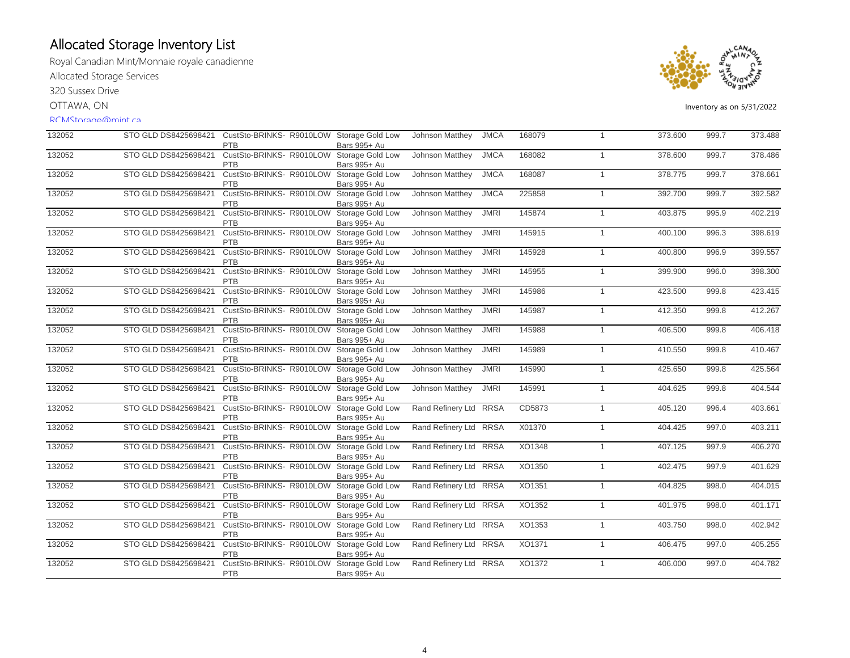Royal Canadian Mint/Monnaie royale canadienne Allocated Storage Services

320 Sussex Drive

OTTAWA, ON

### RCMStorage@mint.ca



| 132052 |                      | STO GLD DS8425698421 CustSto-BRINKS- R9010LOW Storage Gold Low<br><b>PTB</b> | Bars 995+ Au                     | Johnson Matthey        | <b>JMCA</b> | 168079 | $\overline{1}$ | 373.600 | 999.7 | 373.488 |
|--------|----------------------|------------------------------------------------------------------------------|----------------------------------|------------------------|-------------|--------|----------------|---------|-------|---------|
| 132052 | STO GLD DS8425698421 | CustSto-BRINKS-R9010LOW<br><b>PTB</b>                                        | Storage Gold Low<br>Bars 995+ Au | Johnson Matthey        | <b>JMCA</b> | 168082 | $\overline{1}$ | 378,600 | 999.7 | 378.486 |
| 132052 | STO GLD DS8425698421 | CustSto-BRINKS- R9010LOW Storage Gold Low<br><b>PTB</b>                      | Bars 995+ Au                     | Johnson Matthey        | <b>JMCA</b> | 168087 | $\overline{1}$ | 378.775 | 999.7 | 378.661 |
| 132052 | STO GLD DS8425698421 | CustSto-BRINKS- R9010LOW Storage Gold Low<br><b>PTB</b>                      | Bars 995+ Au                     | Johnson Matthey        | <b>JMCA</b> | 225858 | $\mathbf{1}$   | 392.700 | 999.7 | 392.582 |
| 132052 | STO GLD DS8425698421 | CustSto-BRINKS- R9010LOW Storage Gold Low<br><b>PTB</b>                      | Bars 995+ Au                     | Johnson Matthey        | <b>JMRI</b> | 145874 | $\overline{1}$ | 403.875 | 995.9 | 402.219 |
| 132052 | STO GLD DS8425698421 | CustSto-BRINKS-R9010LOW<br>PTB                                               | Storage Gold Low<br>Bars 995+ Au | Johnson Matthey        | <b>JMRI</b> | 145915 | $\overline{1}$ | 400.100 | 996.3 | 398.619 |
| 132052 | STO GLD DS8425698421 | CustSto-BRINKS-R9010LOW<br>PTB                                               | Storage Gold Low<br>Bars 995+ Au | Johnson Matthey        | <b>JMRI</b> | 145928 | $\overline{1}$ | 400.800 | 996.9 | 399.557 |
| 132052 | STO GLD DS8425698421 | CustSto-BRINKS-R9010LOW<br>PTB                                               | Storage Gold Low<br>Bars 995+ Au | Johnson Matthey        | <b>JMRI</b> | 145955 | $\overline{1}$ | 399.900 | 996.0 | 398.300 |
| 132052 | STO GLD DS8425698421 | CustSto-BRINKS- R9010LOW Storage Gold Low<br><b>PTB</b>                      | Bars 995+ Au                     | Johnson Matthey        | <b>JMRI</b> | 145986 | $\overline{1}$ | 423.500 | 999.8 | 423.415 |
| 132052 | STO GLD DS8425698421 | CustSto-BRINKS- R9010LOW<br><b>PTB</b>                                       | Storage Gold Low<br>Bars 995+ Au | Johnson Matthey        | <b>JMRI</b> | 145987 | $\overline{1}$ | 412.350 | 999.8 | 412.267 |
| 132052 | STO GLD DS8425698421 | CustSto-BRINKS- R9010LOW<br><b>PTB</b>                                       | Storage Gold Low<br>Bars 995+ Au | Johnson Matthey        | <b>JMRI</b> | 145988 | $\overline{1}$ | 406.500 | 999.8 | 406.418 |
| 132052 | STO GLD DS8425698421 | CustSto-BRINKS- R9010LOW Storage Gold Low<br><b>PTB</b>                      | Bars 995+ Au                     | Johnson Matthey        | <b>JMRI</b> | 145989 | $\overline{1}$ | 410.550 | 999.8 | 410.467 |
| 132052 | STO GLD DS8425698421 | CustSto-BRINKS- R9010LOW Storage Gold Low<br><b>PTB</b>                      | Bars 995+ Au                     | Johnson Matthey        | <b>JMRI</b> | 145990 | $\overline{1}$ | 425.650 | 999.8 | 425.564 |
| 132052 | STO GLD DS8425698421 | CustSto-BRINKS- R9010LOW Storage Gold Low<br>PTB                             | Bars 995+ Au                     | Johnson Matthey        | <b>JMRI</b> | 145991 | $\overline{1}$ | 404.625 | 999.8 | 404.544 |
| 132052 | STO GLD DS8425698421 | CustSto-BRINKS- R9010LOW<br><b>PTB</b>                                       | Storage Gold Low<br>Bars 995+ Au | Rand Refinery Ltd RRSA |             | CD5873 | $\mathbf{1}$   | 405.120 | 996.4 | 403.661 |
| 132052 | STO GLD DS8425698421 | CustSto-BRINKS- R9010LOW<br><b>PTB</b>                                       | Storage Gold Low<br>Bars 995+ Au | Rand Refinery Ltd RRSA |             | X01370 | $\mathbf{1}$   | 404.425 | 997.0 | 403.211 |
| 132052 | STO GLD DS8425698421 | CustSto-BRINKS- R9010LOW Storage Gold Low<br><b>PTB</b>                      | Bars 995+ Au                     | Rand Refinery Ltd RRSA |             | XO1348 | $\mathbf{1}$   | 407.125 | 997.9 | 406.270 |
| 132052 | STO GLD DS8425698421 | CustSto-BRINKS- R9010LOW Storage Gold Low<br><b>PTB</b>                      | Bars 995+ Au                     | Rand Refinery Ltd RRSA |             | XO1350 | $\overline{1}$ | 402.475 | 997.9 | 401.629 |
| 132052 | STO GLD DS8425698421 | CustSto-BRINKS- R9010LOW Storage Gold Low<br>PTB                             | Bars 995+ Au                     | Rand Refinery Ltd RRSA |             | XO1351 | $\mathbf{1}$   | 404.825 | 998.0 | 404.015 |
| 132052 | STO GLD DS8425698421 | CustSto-BRINKS- R9010LOW<br>PTB                                              | Storage Gold Low<br>Bars 995+ Au | Rand Refinery Ltd RRSA |             | XO1352 | $\overline{1}$ | 401.975 | 998.0 | 401.171 |
| 132052 | STO GLD DS8425698421 | CustSto-BRINKS- R9010LOW<br>PTB                                              | Storage Gold Low<br>Bars 995+ Au | Rand Refinery Ltd RRSA |             | XO1353 | $\mathbf{1}$   | 403.750 | 998.0 | 402.942 |
| 132052 | STO GLD DS8425698421 | CustSto-BRINKS- R9010LOW Storage Gold Low<br><b>PTB</b>                      | Bars 995+ Au                     | Rand Refinery Ltd RRSA |             | XO1371 | $\overline{1}$ | 406.475 | 997.0 | 405.255 |
| 132052 | STO GLD DS8425698421 | CustSto-BRINKS- R9010LOW<br>PTB                                              | Storage Gold Low<br>Bars 995+ Au | Rand Refinery Ltd RRSA |             | XO1372 | $\overline{1}$ | 406.000 | 997.0 | 404.782 |
|        |                      |                                                                              |                                  |                        |             |        |                |         |       |         |